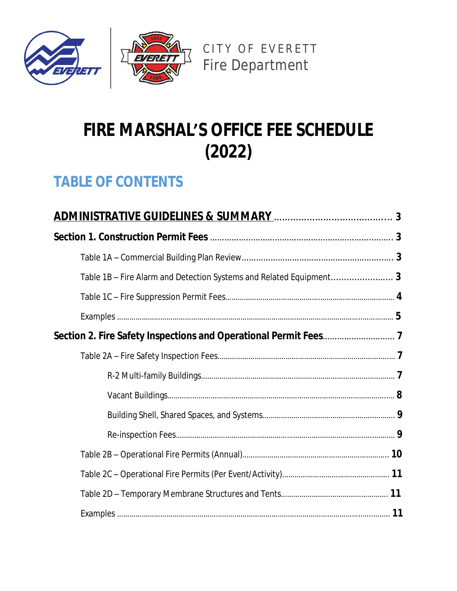



# **FIRE MARSHAL'S OFFICE FEE SCHEDULE (2022)**

# **TABLE OF CONTENTS**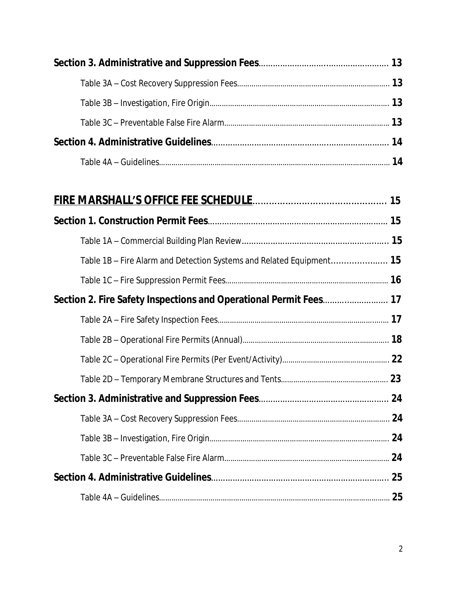| Table 1B – Fire Alarm and Detection Systems and Related Equipment 15 |  |
|----------------------------------------------------------------------|--|
|                                                                      |  |
| Section 2. Fire Safety Inspections and Operational Permit Fees 17    |  |
|                                                                      |  |
|                                                                      |  |
|                                                                      |  |
|                                                                      |  |
|                                                                      |  |
|                                                                      |  |
|                                                                      |  |
|                                                                      |  |
|                                                                      |  |
|                                                                      |  |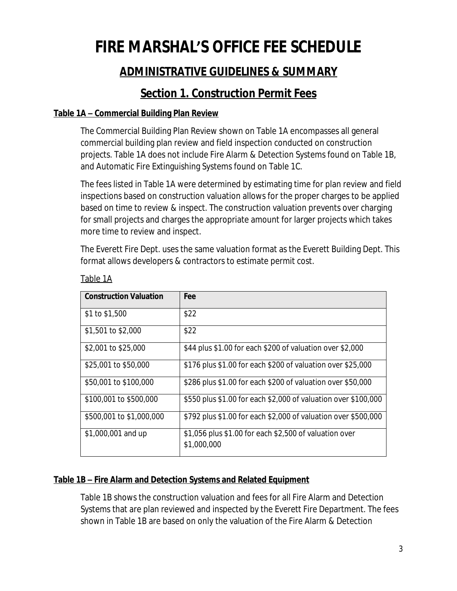# **FIRE MARSHAL'S OFFICE FEE SCHEDULE**

# **ADMINISTRATIVE GUIDELINES & SUMMARY**

# **Section 1. Construction Permit Fees**

### **Table 1A – Commercial Building Plan Review**

The Commercial Building Plan Review shown on Table 1A encompasses all general commercial building plan review and field inspection conducted on construction projects. Table 1A does not include Fire Alarm & Detection Systems found on Table 1B, and Automatic Fire Extinguishing Systems found on Table 1C.

The fees listed in Table 1A were determined by estimating time for plan review and field inspections based on construction valuation allows for the proper charges to be applied based on time to review & inspect. The construction valuation prevents over charging for small projects and charges the appropriate amount for larger projects which takes more time to review and inspect.

The Everett Fire Dept. uses the same valuation format as the Everett Building Dept. This format allows developers & contractors to estimate permit cost.

| <b>Construction Valuation</b> | <b>Fee</b>                                                            |
|-------------------------------|-----------------------------------------------------------------------|
| \$1 to \$1,500                | \$22                                                                  |
| \$1,501 to \$2,000            | \$22                                                                  |
| \$2,001 to \$25,000           | \$44 plus \$1.00 for each \$200 of valuation over \$2,000             |
| \$25,001 to \$50,000          | \$176 plus \$1.00 for each \$200 of valuation over \$25,000           |
| \$50,001 to \$100,000         | \$286 plus \$1.00 for each \$200 of valuation over \$50,000           |
| \$100,001 to \$500,000        | \$550 plus \$1.00 for each \$2,000 of valuation over \$100,000        |
| \$500,001 to \$1,000,000      | \$792 plus \$1.00 for each \$2,000 of valuation over \$500,000        |
| \$1,000,001 and up            | \$1,056 plus \$1.00 for each \$2,500 of valuation over<br>\$1,000,000 |

Table 1A

# **Table 1B – Fire Alarm and Detection Systems and Related Equipment**

Table 1B shows the construction valuation and fees for all Fire Alarm and Detection Systems that are plan reviewed and inspected by the Everett Fire Department. The fees shown in Table 1B are based on only the valuation of the Fire Alarm & Detection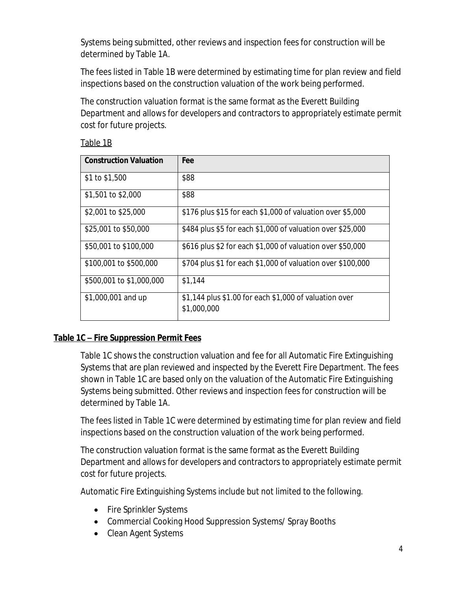Systems being submitted, other reviews and inspection fees for construction will be determined by Table 1A.

The fees listed in Table 1B were determined by estimating time for plan review and field inspections based on the construction valuation of the work being performed.

The construction valuation format is the same format as the Everett Building Department and allows for developers and contractors to appropriately estimate permit cost for future projects.

| ź. |  |
|----|--|
|    |  |

| <b>Construction Valuation</b> | Fee                                                                   |
|-------------------------------|-----------------------------------------------------------------------|
| \$1 to \$1,500                | \$88                                                                  |
| \$1,501 to \$2,000            | \$88                                                                  |
| \$2,001 to \$25,000           | \$176 plus \$15 for each \$1,000 of valuation over \$5,000            |
| \$25,001 to \$50,000          | \$484 plus \$5 for each \$1,000 of valuation over \$25,000            |
| \$50,001 to \$100,000         | \$616 plus \$2 for each \$1,000 of valuation over \$50,000            |
| \$100,001 to \$500,000        | \$704 plus \$1 for each \$1,000 of valuation over \$100,000           |
| \$500,001 to \$1,000,000      | \$1,144                                                               |
| \$1,000,001 and up            | \$1,144 plus \$1.00 for each \$1,000 of valuation over<br>\$1,000,000 |

# **Table 1C – Fire Suppression Permit Fees**

Table 1C shows the construction valuation and fee for all Automatic Fire Extinguishing Systems that are plan reviewed and inspected by the Everett Fire Department. The fees shown in Table 1C are based only on the valuation of the Automatic Fire Extinguishing Systems being submitted. Other reviews and inspection fees for construction will be determined by Table 1A.

The fees listed in Table 1C were determined by estimating time for plan review and field inspections based on the construction valuation of the work being performed.

The construction valuation format is the same format as the Everett Building Department and allows for developers and contractors to appropriately estimate permit cost for future projects.

Automatic Fire Extinguishing Systems include but not limited to the following.

- Fire Sprinkler Systems
- Commercial Cooking Hood Suppression Systems/ Spray Booths
- Clean Agent Systems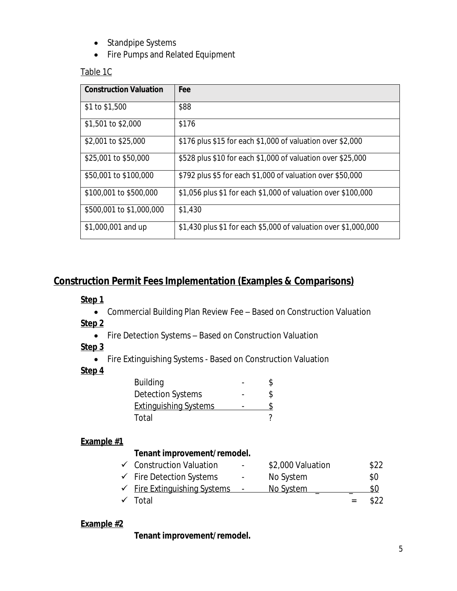- Standpipe Systems
- Fire Pumps and Related Equipment

# Table 1C

| <b>Construction Valuation</b> | Fee                                                             |
|-------------------------------|-----------------------------------------------------------------|
| \$1 to \$1,500                | \$88                                                            |
| \$1,501 to \$2,000            | \$176                                                           |
| \$2,001 to \$25,000           | \$176 plus \$15 for each \$1,000 of valuation over \$2,000      |
| \$25,001 to \$50,000          | \$528 plus \$10 for each \$1,000 of valuation over \$25,000     |
| \$50,001 to \$100,000         | \$792 plus \$5 for each \$1,000 of valuation over \$50,000      |
| \$100,001 to \$500,000        | \$1,056 plus \$1 for each \$1,000 of valuation over \$100,000   |
| \$500,001 to \$1,000,000      | \$1,430                                                         |
| \$1,000,001 and up            | \$1,430 plus \$1 for each \$5,000 of valuation over \$1,000,000 |

# **Construction Permit Fees Implementation (Examples & Comparisons)**

# **Step 1**

- Commercial Building Plan Review Fee Based on Construction Valuation
- **Step 2**
	- Fire Detection Systems Based on Construction Valuation

#### **Step 3**

Fire Extinguishing Systems - Based on Construction Valuation

#### **Step 4**

| \$ |
|----|
| \$ |
|    |
|    |
|    |

# **Example #1**

# **Tenant improvement/remodel.**

| ← Construction Valuation                | $\sim 100$ | \$2,000 Valuation | \$22 |
|-----------------------------------------|------------|-------------------|------|
| $\checkmark$ Fire Detection Systems     | $\sim 100$ | No System         | \$0  |
| $\checkmark$ Fire Extinguishing Systems |            | <u>No System</u>  | SO.  |
| $\checkmark$ Total                      |            |                   | \$22 |

#### **Example #2**

**Tenant improvement/remodel.**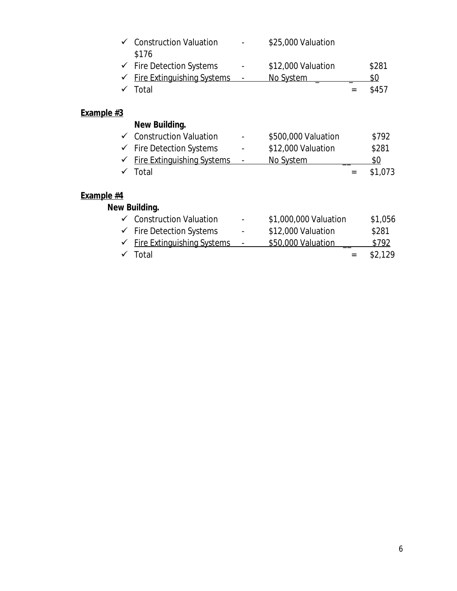|                   | $\checkmark$ Construction Valuation<br>\$176 | \$25,000 Valuation    |              |
|-------------------|----------------------------------------------|-----------------------|--------------|
|                   | $\checkmark$ Fire Detection Systems          | \$12,000 Valuation    | \$281        |
| ✓                 | <b>Fire Extinguishing Systems</b><br>Total   | No System             | \$0<br>\$457 |
| <b>Example #3</b> |                                              |                       |              |
|                   | New Building.                                |                       |              |
|                   | ← Construction Valuation                     | \$500,000 Valuation   | \$792        |
|                   | $\checkmark$ Fire Detection Systems          | \$12,000 Valuation    | \$281        |
|                   | <b>Fire Extinguishing Systems</b>            | No System             | \$0          |
|                   | Total                                        |                       | \$1,073      |
| Example #4        |                                              |                       |              |
|                   | New Building.                                |                       |              |
|                   | $\checkmark$ Construction Valuation          | \$1,000,000 Valuation | \$1,056      |
| ✓                 | <b>Fire Detection Systems</b>                | \$12,000 Valuation    | \$281        |
|                   |                                              |                       |              |

| $\checkmark$ Fire Extinguishing Systems | \$50,000 Valuation | \$792       |
|-----------------------------------------|--------------------|-------------|
| $\checkmark$ Total                      |                    | $=$ \$2,129 |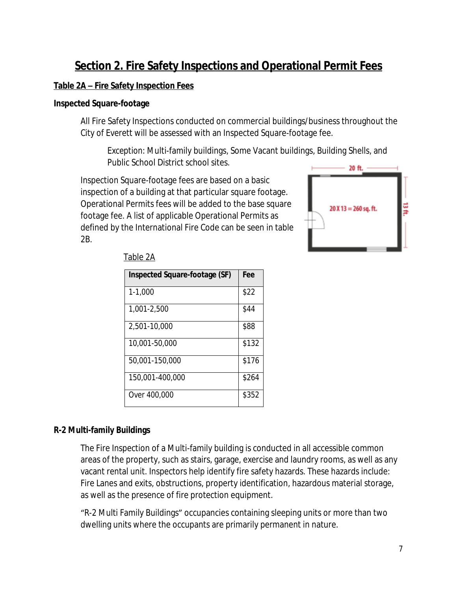# **Section 2. Fire Safety Inspections and Operational Permit Fees**

#### **Table 2A – Fire Safety Inspection Fees**

#### **Inspected Square-footage**

All Fire Safety Inspections conducted on commercial buildings/business throughout the City of Everett will be assessed with an Inspected Square-footage fee.

*Exception:* Multi-family buildings, Some Vacant buildings, Building Shells, and Public School District school sites.

Inspection Square-footage fees are based on a basic inspection of a building at that particular square footage. Operational Permits fees will be added to the base square footage fee. A list of applicable Operational Permits as defined by the International Fire Code can be seen in table 2B.



| <b>Inspected Square-footage (SF)</b> | Fee   |
|--------------------------------------|-------|
| $1 - 1,000$                          | \$22  |
| 1,001-2,500                          | \$44  |
| 2,501-10,000                         | \$88  |
| 10,001-50,000                        | \$132 |
| 50,001-150,000                       | \$176 |
| 150,001-400,000                      | \$264 |
| Over 400,000                         | \$352 |

#### **R-2 Multi-family Buildings**

The Fire Inspection of a Multi-family building is conducted in all accessible common areas of the property, such as stairs, garage, exercise and laundry rooms, as well as any vacant rental unit. Inspectors help identify fire safety hazards. These hazards include: Fire Lanes and exits, obstructions, property identification, hazardous material storage, as well as the presence of fire protection equipment.

"R-2 Multi Family Buildings" occupancies containing sleeping units or more than two dwelling units where the occupants are primarily permanent in nature.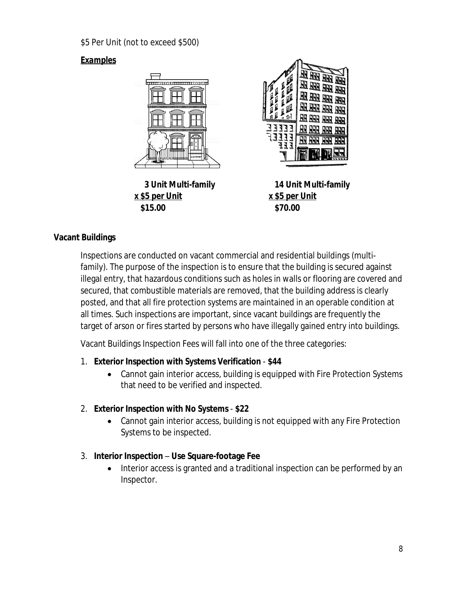\$5 Per Unit (not to exceed \$500)

# *Examples*



**x \$5 per Unit x \$5 per Unit \$15.00 \$70.00**



 **3 Unit Multi-family 14 Unit Multi-family**

# **Vacant Buildings**

Inspections are conducted on vacant commercial and residential buildings (multifamily). The purpose of the inspection is to ensure that the building is secured against illegal entry, that hazardous conditions such as holes in walls or flooring are covered and secured, that combustible materials are removed, that the building address is clearly posted, and that all fire protection systems are maintained in an operable condition at all times. Such inspections are important, since vacant buildings are frequently the target of arson or fires started by persons who have illegally gained entry into buildings.

Vacant Buildings Inspection Fees will fall into one of the three categories:

# 1. **Exterior Inspection with Systems Verification** - **\$44**

 Cannot gain interior access, building is equipped with Fire Protection Systems that need to be verified and inspected.

# 2. **Exterior Inspection with No Systems** - **\$22**

 Cannot gain interior access, building is not equipped with any Fire Protection Systems to be inspected.

# 3. **Interior Inspection** – **Use Square-footage Fee**

 Interior access is granted and a traditional inspection can be performed by an Inspector.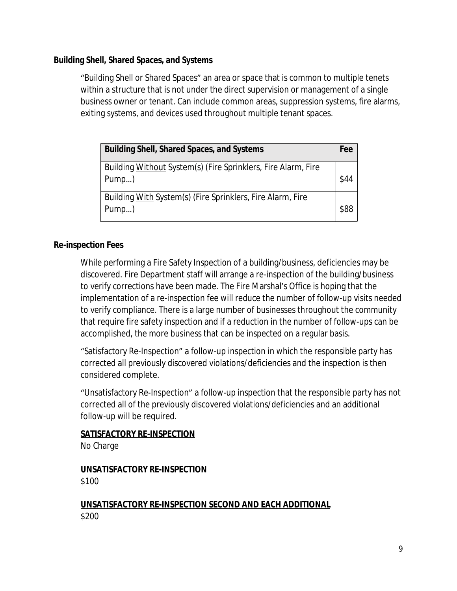#### **Building Shell, Shared Spaces, and Systems**

"Building Shell or Shared Spaces" an area or space that is common to multiple tenets within a structure that is not under the direct supervision or management of a single business owner or tenant. Can include common areas, suppression systems, fire alarms, exiting systems, and devices used throughout multiple tenant spaces.

| <b>Building Shell, Shared Spaces, and Systems</b>                      | Fee  |
|------------------------------------------------------------------------|------|
| Building Without System(s) (Fire Sprinklers, Fire Alarm, Fire<br>Pump) | \$44 |
| Building With System(s) (Fire Sprinklers, Fire Alarm, Fire<br>Pump)    | \$88 |

#### **Re-inspection Fees**

While performing a Fire Safety Inspection of a building/business, deficiencies may be discovered. Fire Department staff will arrange a re-inspection of the building/business to verify corrections have been made. The Fire Marshal's Office is hoping that the implementation of a re-inspection fee will reduce the number of follow-up visits needed to verify compliance. There is a large number of businesses throughout the community that require fire safety inspection and if a reduction in the number of follow-ups can be accomplished, the more business that can be inspected on a regular basis.

"Satisfactory Re-Inspection" a follow-up inspection in which the responsible party has corrected all previously discovered violations/deficiencies and the inspection is then considered complete.

"Unsatisfactory Re-Inspection" a follow-up inspection that the responsible party has not corrected all of the previously discovered violations/deficiencies and an additional follow-up will be required.

# **SATISFACTORY RE-INSPECTION**

No Charge

**UNSATISFACTORY RE-INSPECTION** \$100

#### **UNSATISFACTORY RE-INSPECTION SECOND AND EACH ADDITIONAL** \$200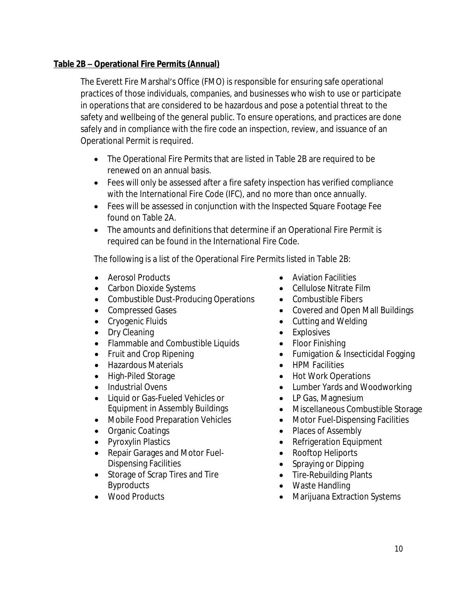# **Table 2B – Operational Fire Permits (Annual)**

The Everett Fire Marshal's Office (FMO) is responsible for ensuring safe operational practices of those individuals, companies, and businesses who wish to use or participate in operations that are considered to be hazardous and pose a potential threat to the safety and wellbeing of the general public. To ensure operations, and practices are done safely and in compliance with the fire code an inspection, review, and issuance of an Operational Permit is required.

- The Operational Fire Permits that are listed in Table 2B are required to be renewed on an annual basis.
- Fees will only be assessed after a fire safety inspection has verified compliance with the International Fire Code (IFC), and no more than once annually.
- Fees will be assessed in conjunction with the Inspected Square Footage Fee found on Table 2A.
- The amounts and definitions that determine if an Operational Fire Permit is required can be found in the International Fire Code.

The following is a list of the Operational Fire Permits listed in Table 2B:

- Aerosol Products
- Carbon Dioxide Systems
- Combustible Dust-Producing Operations
- Compressed Gases
- Cryogenic Fluids
- Dry Cleaning
- Flammable and Combustible Liquids
- Fruit and Crop Ripening
- Hazardous Materials
- High-Piled Storage
- Industrial Ovens
- Liquid or Gas-Fueled Vehicles or Equipment in Assembly Buildings
- Mobile Food Preparation Vehicles
- Organic Coatings
- Pyroxylin Plastics
- Repair Garages and Motor Fuel-Dispensing Facilities
- Storage of Scrap Tires and Tire Byproducts
- Wood Products
- **•** Aviation Facilities
- Cellulose Nitrate Film
- Combustible Fibers
- Covered and Open Mall Buildings
- Cutting and Welding
- Explosives
- Floor Finishing
- Fumigation & Insecticidal Fogging
- HPM Facilities
- Hot Work Operations
- Lumber Yards and Woodworking
- LP Gas, Magnesium
- Miscellaneous Combustible Storage
- Motor Fuel-Dispensing Facilities
- Places of Assembly
- Refrigeration Equipment
- Rooftop Heliports
- Spraying or Dipping
- Tire-Rebuilding Plants
- Waste Handling
- Marijuana Extraction Systems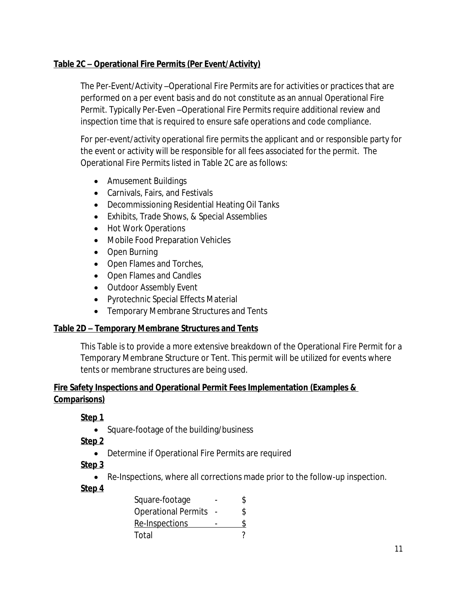### **Table 2C – Operational Fire Permits (Per Event/Activity)**

The Per-Event/Activity –Operational Fire Permits are for activities or practices that are performed on a per event basis and do not constitute as an annual Operational Fire Permit. Typically Per-Even –Operational Fire Permits require additional review and inspection time that is required to ensure safe operations and code compliance.

For per-event/activity operational fire permits the applicant and or responsible party for the event or activity will be responsible for all fees associated for the permit. The Operational Fire Permits listed in Table 2C are as follows:

- Amusement Buildings
- Carnivals, Fairs, and Festivals
- Decommissioning Residential Heating Oil Tanks
- Exhibits, Trade Shows, & Special Assemblies
- Hot Work Operations
- Mobile Food Preparation Vehicles
- Open Burning
- Open Flames and Torches,
- Open Flames and Candles
- Outdoor Assembly Event
- Pyrotechnic Special Effects Material
- Temporary Membrane Structures and Tents

#### **Table 2D – Temporary Membrane Structures and Tents**

This Table is to provide a more extensive breakdown of the Operational Fire Permit for a Temporary Membrane Structure or Tent. This permit will be utilized for events where tents or membrane structures are being used.

### **Fire Safety Inspections and Operational Permit Fees Implementation (Examples & Comparisons)**

**Step 1**

• Square-footage of the building/business

**Step 2**

Determine if Operational Fire Permits are required

# **Step 3**

Re-Inspections, where all corrections made prior to the follow-up inspection.

# **Step 4**

| Square-footage             | Ж |
|----------------------------|---|
| <b>Operational Permits</b> | ፍ |
| Re-Inspections             |   |
| Total                      |   |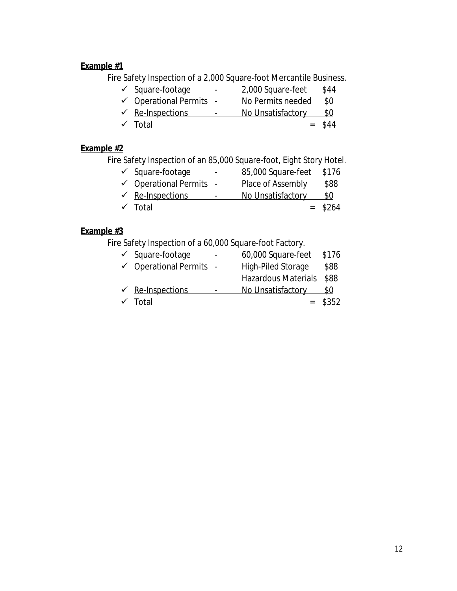# **Example #1**

Fire Safety Inspection of a 2,000 Square-foot Mercantile Business.

| $\checkmark$ Square-footage        | $\sim$ | 2,000 Square-feet | \$44 |
|------------------------------------|--------|-------------------|------|
| $\checkmark$ Operational Permits - |        | No Permits needed | \$0  |
| $\sqrt{ }$ Re-Inspections          | ۰      | No Unsatisfactory | \$0  |

 $\checkmark$  Total = \$44

### **Example #2**

Fire Safety Inspection of an 85,000 Square-foot, Eight Story Hotel.

| $\checkmark$ Square-footage        | $\overline{\phantom{a}}$ | 85,000 Square-feet | \$176     |
|------------------------------------|--------------------------|--------------------|-----------|
| $\checkmark$ Operational Permits - |                          | Place of Assembly  | \$88      |
| $\sqrt{\ }$ Re-Inspections         | $\overline{\phantom{a}}$ | No Unsatisfactory  | \$0       |
| $\checkmark$ Total                 |                          |                    | $=$ \$264 |

### **Example #3**

Fire Safety Inspection of a 60,000 Square-foot Factory.

| $\checkmark$ Square-footage        | 60,000 Square-feet         | \$176     |
|------------------------------------|----------------------------|-----------|
| $\checkmark$ Operational Permits - | High-Piled Storage         | \$88      |
|                                    | <b>Hazardous Materials</b> | \$88      |
| $\sqrt{ }$ Re-Inspections          | No Unsatisfactory          | \$0       |
| $\checkmark$ Total                 |                            | $=$ \$352 |
|                                    |                            |           |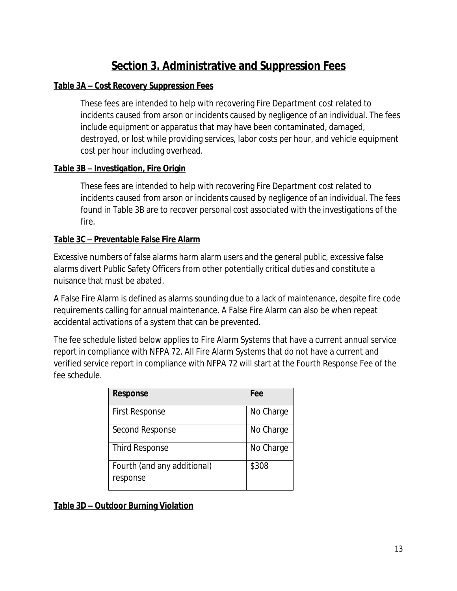# **Section 3. Administrative and Suppression Fees**

#### **Table 3A – Cost Recovery Suppression Fees**

These fees are intended to help with recovering Fire Department cost related to incidents caused from arson or incidents caused by negligence of an individual. The fees include equipment or apparatus that may have been contaminated, damaged, destroyed, or lost while providing services, labor costs per hour, and vehicle equipment cost per hour including overhead.

#### **Table 3B – Investigation, Fire Origin**

These fees are intended to help with recovering Fire Department cost related to incidents caused from arson or incidents caused by negligence of an individual. The fees found in Table 3B are to recover personal cost associated with the investigations of the fire.

#### **Table 3C – Preventable False Fire Alarm**

Excessive numbers of false alarms harm alarm users and the general public, excessive false alarms divert Public Safety Officers from other potentially critical duties and constitute a nuisance that must be abated.

A False Fire Alarm is defined as alarms sounding due to a lack of maintenance, despite fire code requirements calling for annual maintenance. A False Fire Alarm can also be when repeat accidental activations of a system that can be prevented.

The fee schedule listed below applies to Fire Alarm Systems that have a current annual service report in compliance with NFPA 72. All Fire Alarm Systems that do not have a current and verified service report in compliance with NFPA 72 will start at the Fourth Response Fee of the fee schedule.

| <b>Response</b>                         | Fee       |
|-----------------------------------------|-----------|
| <b>First Response</b>                   | No Charge |
| Second Response                         | No Charge |
| <b>Third Response</b>                   | No Charge |
| Fourth (and any additional)<br>response | \$308     |

**Table 3D – Outdoor Burning Violation**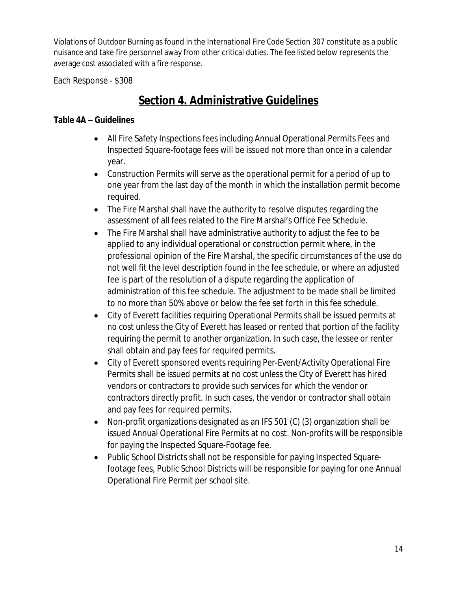Violations of Outdoor Burning as found in the International Fire Code Section 307 constitute as a public nuisance and take fire personnel away from other critical duties. The fee listed below represents the average cost associated with a fire response.

Each Response - \$308

# **Section 4. Administrative Guidelines**

### **Table 4A – Guidelines**

- All Fire Safety Inspections fees including Annual Operational Permits Fees and Inspected Square-footage fees will be issued not more than once in a calendar year.
- Construction Permits will serve as the operational permit for a period of up to one year from the last day of the month in which the installation permit become required.
- The Fire Marshal shall have the authority to resolve disputes regarding the assessment of all fees related to the Fire Marshal's Office Fee Schedule.
- The Fire Marshal shall have administrative authority to adjust the fee to be applied to any individual operational or construction permit where, in the professional opinion of the Fire Marshal, the specific circumstances of the use do not well fit the level description found in the fee schedule, or where an adjusted fee is part of the resolution of a dispute regarding the application of administration of this fee schedule. The adjustment to be made shall be limited to no more than 50% above or below the fee set forth in this fee schedule.
- City of Everett facilities requiring Operational Permits shall be issued permits at no cost unless the City of Everett has leased or rented that portion of the facility requiring the permit to another organization. In such case, the lessee or renter shall obtain and pay fees for required permits.
- City of Everett sponsored events requiring Per-Event/Activity Operational Fire Permits shall be issued permits at no cost unless the City of Everett has hired vendors or contractors to provide such services for which the vendor or contractors directly profit. In such cases, the vendor or contractor shall obtain and pay fees for required permits.
- Non-profit organizations designated as an IFS 501 (C) (3) organization shall be issued Annual Operational Fire Permits at no cost. Non-profits will be responsible for paying the Inspected Square-Footage fee.
- Public School Districts shall not be responsible for paying Inspected Squarefootage fees, Public School Districts will be responsible for paying for one Annual Operational Fire Permit per school site.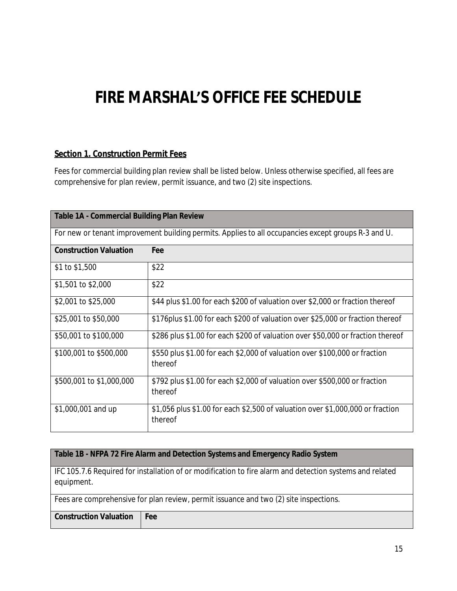# **FIRE MARSHAL'S OFFICE FEE SCHEDULE**

#### **Section 1. Construction Permit Fees**

Fees for commercial building plan review shall be listed below. Unless otherwise specified, all fees are comprehensive for plan review, permit issuance, and two (2) site inspections.

| <b>Table 1A - Commercial Building Plan Review</b> |                                                                                                     |  |
|---------------------------------------------------|-----------------------------------------------------------------------------------------------------|--|
|                                                   | For new or tenant improvement building permits. Applies to all occupancies except groups R-3 and U. |  |
| <b>Construction Valuation</b>                     | Fee                                                                                                 |  |
| \$1 to \$1,500                                    | \$22                                                                                                |  |
| \$1,501 to \$2,000                                | \$22                                                                                                |  |
| \$2,001 to \$25,000                               | \$44 plus \$1.00 for each \$200 of valuation over \$2,000 or fraction thereof                       |  |
| \$25,001 to \$50,000                              | \$176plus \$1.00 for each \$200 of valuation over \$25,000 or fraction thereof                      |  |
| \$50,001 to \$100,000                             | \$286 plus \$1.00 for each \$200 of valuation over \$50,000 or fraction thereof                     |  |
| \$100,001 to \$500,000                            | \$550 plus \$1.00 for each \$2,000 of valuation over \$100,000 or fraction<br>thereof               |  |
| \$500,001 to \$1,000,000                          | \$792 plus \$1.00 for each \$2,000 of valuation over \$500,000 or fraction<br>thereof               |  |
| \$1,000,001 and up                                | \$1,056 plus \$1.00 for each \$2,500 of valuation over \$1,000,000 or fraction<br>thereof           |  |

#### **Table 1B - NFPA 72 Fire Alarm and Detection Systems and Emergency Radio System**

IFC 105.7.6 Required for installation of or modification to fire alarm and detection systems and related equipment.

| Fees are comprehensive for plan review, permit issuance and two (2) site inspections. |  |  |
|---------------------------------------------------------------------------------------|--|--|
| <b>Construction Valuation Fee</b>                                                     |  |  |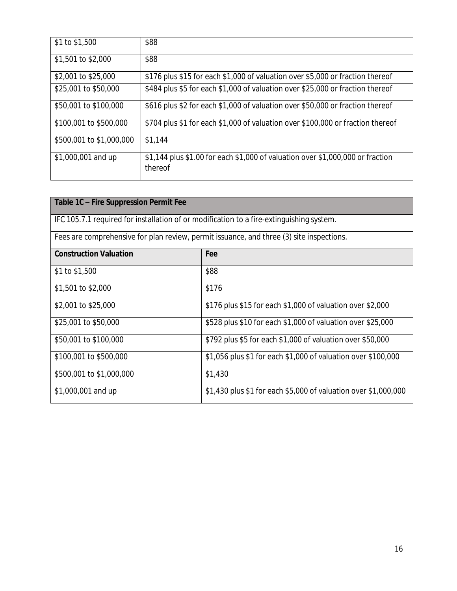| \$1 to \$1,500           | \$88                                                                                      |
|--------------------------|-------------------------------------------------------------------------------------------|
| \$1,501 to \$2,000       | \$88                                                                                      |
| \$2,001 to \$25,000      | \$176 plus \$15 for each \$1,000 of valuation over \$5,000 or fraction thereof            |
| \$25,001 to \$50,000     | \$484 plus \$5 for each \$1,000 of valuation over \$25,000 or fraction thereof            |
| \$50,001 to \$100,000    | \$616 plus \$2 for each \$1,000 of valuation over \$50,000 or fraction thereof            |
| \$100,001 to \$500,000   | \$704 plus \$1 for each \$1,000 of valuation over \$100,000 or fraction thereof           |
| \$500,001 to \$1,000,000 | \$1,144                                                                                   |
| \$1,000,001 and up       | \$1,144 plus \$1.00 for each \$1,000 of valuation over \$1,000,000 or fraction<br>thereof |

| Table 1C - Fire Suppression Permit Fee                                                   |                                                                 |  |
|------------------------------------------------------------------------------------------|-----------------------------------------------------------------|--|
| IFC 105.7.1 required for installation of or modification to a fire-extinguishing system. |                                                                 |  |
| Fees are comprehensive for plan review, permit issuance, and three (3) site inspections. |                                                                 |  |
| <b>Construction Valuation</b>                                                            | Fee                                                             |  |
| \$1 to \$1,500                                                                           | \$88                                                            |  |
| \$1,501 to \$2,000                                                                       | \$176                                                           |  |
| \$2,001 to \$25,000                                                                      | \$176 plus \$15 for each \$1,000 of valuation over \$2,000      |  |
| \$25,001 to \$50,000                                                                     | \$528 plus \$10 for each \$1,000 of valuation over \$25,000     |  |
| \$50,001 to \$100,000                                                                    | \$792 plus \$5 for each \$1,000 of valuation over \$50,000      |  |
| \$100,001 to \$500,000                                                                   | \$1,056 plus \$1 for each \$1,000 of valuation over \$100,000   |  |
| \$500,001 to \$1,000,000                                                                 | \$1,430                                                         |  |
| \$1,000,001 and up                                                                       | \$1,430 plus \$1 for each \$5,000 of valuation over \$1,000,000 |  |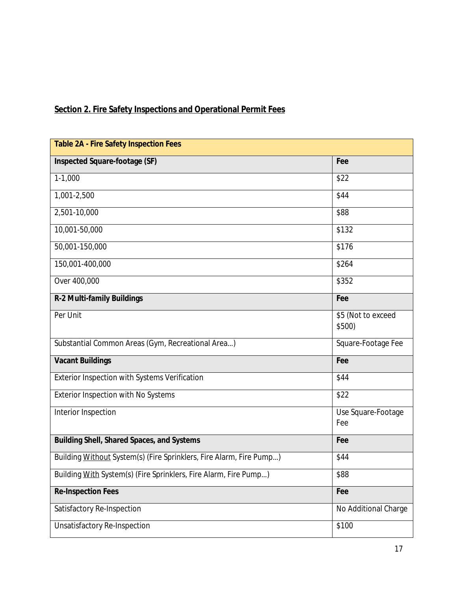# **Section 2. Fire Safety Inspections and Operational Permit Fees**

| <b>Table 2A - Fire Safety Inspection Fees</b>                       |                              |
|---------------------------------------------------------------------|------------------------------|
| Inspected Square-footage (SF)                                       | Fee                          |
| $1-1,000$                                                           | \$22                         |
| 1,001-2,500                                                         | \$44                         |
| 2,501-10,000                                                        | \$88                         |
| 10,001-50,000                                                       | \$132                        |
| 50,001-150,000                                                      | \$176                        |
| 150,001-400,000                                                     | \$264                        |
| Over 400,000                                                        | \$352                        |
| R-2 Multi-family Buildings                                          | Fee                          |
| Per Unit                                                            | \$5 (Not to exceed<br>\$500) |
| Substantial Common Areas (Gym, Recreational Area)                   | Square-Footage Fee           |
| <b>Vacant Buildings</b>                                             | Fee                          |
| Exterior Inspection with Systems Verification                       | \$44                         |
| Exterior Inspection with No Systems                                 | \$22                         |
| Interior Inspection                                                 | Use Square-Footage<br>Fee    |
| <b>Building Shell, Shared Spaces, and Systems</b>                   | Fee                          |
| Building Without System(s) (Fire Sprinklers, Fire Alarm, Fire Pump) | \$44                         |
| Building With System(s) (Fire Sprinklers, Fire Alarm, Fire Pump)    | \$88                         |
| <b>Re-Inspection Fees</b>                                           | Fee                          |
| Satisfactory Re-Inspection                                          | No Additional Charge         |
| <b>Unsatisfactory Re-Inspection</b>                                 | \$100                        |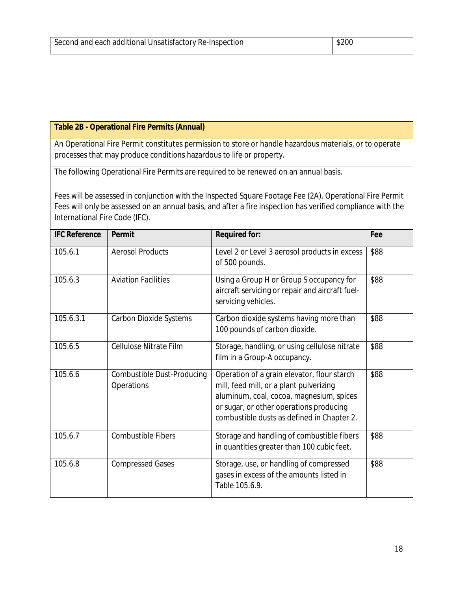#### **Table 2B - Operational Fire Permits (Annual)**

An Operational Fire Permit constitutes permission to store or handle hazardous materials, or to operate processes that may produce conditions hazardous to life or property.

The following Operational Fire Permits are required to be renewed on an annual basis.

Fees will be assessed in conjunction with the Inspected Square Footage Fee (2A). Operational Fire Permit Fees will only be assessed on an annual basis, and after a fire inspection has verified compliance with the International Fire Code (IFC).

| <b>IFC Reference</b> | Permit                                   | <b>Required for:</b>                                                                                                                                                                                                        | Fee  |
|----------------------|------------------------------------------|-----------------------------------------------------------------------------------------------------------------------------------------------------------------------------------------------------------------------------|------|
| 105.6.1              | <b>Aerosol Products</b>                  | Level 2 or Level 3 aerosol products in excess<br>of 500 pounds.                                                                                                                                                             | \$88 |
| 105.6.3              | <b>Aviation Facilities</b>               | Using a Group H or Group S occupancy for<br>aircraft servicing or repair and aircraft fuel-<br>servicing vehicles.                                                                                                          | \$88 |
| 105.6.3.1            | <b>Carbon Dioxide Systems</b>            | Carbon dioxide systems having more than<br>100 pounds of carbon dioxide.                                                                                                                                                    | \$88 |
| 105.6.5              | Cellulose Nitrate Film                   | Storage, handling, or using cellulose nitrate<br>film in a Group-A occupancy.                                                                                                                                               | \$88 |
| 105.6.6              | Combustible Dust-Producing<br>Operations | Operation of a grain elevator, flour starch<br>mill, feed mill, or a plant pulverizing<br>aluminum, coal, cocoa, magnesium, spices<br>or sugar, or other operations producing<br>combustible dusts as defined in Chapter 2. | \$88 |
| 105.6.7              | <b>Combustible Fibers</b>                | Storage and handling of combustible fibers<br>in quantities greater than 100 cubic feet.                                                                                                                                    | \$88 |
| 105.6.8              | <b>Compressed Gases</b>                  | Storage, use, or handling of compressed<br>gases in excess of the amounts listed in<br>Table 105.6.9.                                                                                                                       | \$88 |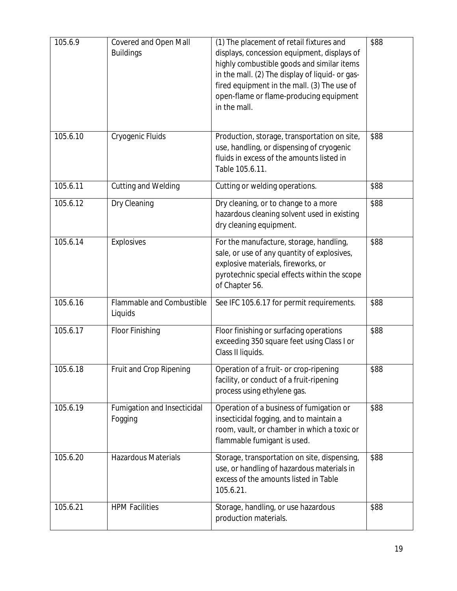| 105.6.9  | Covered and Open Mall<br><b>Buildings</b> | (1) The placement of retail fixtures and<br>displays, concession equipment, displays of<br>highly combustible goods and similar items<br>in the mall. (2) The display of liquid- or gas-<br>fired equipment in the mall. (3) The use of<br>open-flame or flame-producing equipment<br>in the mall. | \$88 |
|----------|-------------------------------------------|----------------------------------------------------------------------------------------------------------------------------------------------------------------------------------------------------------------------------------------------------------------------------------------------------|------|
| 105.6.10 | Cryogenic Fluids                          | Production, storage, transportation on site,<br>use, handling, or dispensing of cryogenic<br>fluids in excess of the amounts listed in<br>Table 105.6.11.                                                                                                                                          | \$88 |
| 105.6.11 | Cutting and Welding                       | Cutting or welding operations.                                                                                                                                                                                                                                                                     | \$88 |
| 105.6.12 | Dry Cleaning                              | Dry cleaning, or to change to a more<br>hazardous cleaning solvent used in existing<br>dry cleaning equipment.                                                                                                                                                                                     | \$88 |
| 105.6.14 | Explosives                                | For the manufacture, storage, handling,<br>sale, or use of any quantity of explosives,<br>explosive materials, fireworks, or<br>pyrotechnic special effects within the scope<br>of Chapter 56.                                                                                                     | \$88 |
| 105.6.16 | Flammable and Combustible<br>Liquids      | See IFC 105.6.17 for permit requirements.                                                                                                                                                                                                                                                          | \$88 |
| 105.6.17 | Floor Finishing                           | Floor finishing or surfacing operations<br>exceeding 350 square feet using Class I or<br>Class II liquids.                                                                                                                                                                                         | \$88 |
| 105.6.18 | Fruit and Crop Ripening                   | Operation of a fruit- or crop-ripening<br>facility, or conduct of a fruit-ripening<br>process using ethylene gas.                                                                                                                                                                                  | \$88 |
| 105.6.19 | Fumigation and Insecticidal<br>Fogging    | Operation of a business of fumigation or<br>insecticidal fogging, and to maintain a<br>room, vault, or chamber in which a toxic or<br>flammable fumigant is used.                                                                                                                                  | \$88 |
| 105.6.20 | <b>Hazardous Materials</b>                | Storage, transportation on site, dispensing,<br>use, or handling of hazardous materials in<br>excess of the amounts listed in Table<br>105.6.21.                                                                                                                                                   | \$88 |
| 105.6.21 | <b>HPM Facilities</b>                     | Storage, handling, or use hazardous<br>production materials.                                                                                                                                                                                                                                       | \$88 |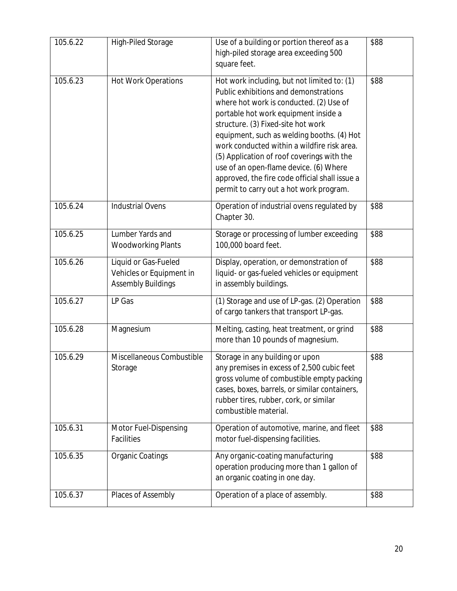| 105.6.22 | High-Piled Storage                                                            | Use of a building or portion thereof as a<br>high-piled storage area exceeding 500<br>square feet.                                                                                                                                                                                                                                                                                                                                                                                              | \$88 |
|----------|-------------------------------------------------------------------------------|-------------------------------------------------------------------------------------------------------------------------------------------------------------------------------------------------------------------------------------------------------------------------------------------------------------------------------------------------------------------------------------------------------------------------------------------------------------------------------------------------|------|
| 105.6.23 | <b>Hot Work Operations</b>                                                    | Hot work including, but not limited to: (1)<br>Public exhibitions and demonstrations<br>where hot work is conducted. (2) Use of<br>portable hot work equipment inside a<br>structure. (3) Fixed-site hot work<br>equipment, such as welding booths. (4) Hot<br>work conducted within a wildfire risk area.<br>(5) Application of roof coverings with the<br>use of an open-flame device. (6) Where<br>approved, the fire code official shall issue a<br>permit to carry out a hot work program. | \$88 |
| 105.6.24 | <b>Industrial Ovens</b>                                                       | Operation of industrial ovens regulated by<br>Chapter 30.                                                                                                                                                                                                                                                                                                                                                                                                                                       | \$88 |
| 105.6.25 | Lumber Yards and<br><b>Woodworking Plants</b>                                 | Storage or processing of lumber exceeding<br>100,000 board feet.                                                                                                                                                                                                                                                                                                                                                                                                                                | \$88 |
| 105.6.26 | Liquid or Gas-Fueled<br>Vehicles or Equipment in<br><b>Assembly Buildings</b> | Display, operation, or demonstration of<br>liquid- or gas-fueled vehicles or equipment<br>in assembly buildings.                                                                                                                                                                                                                                                                                                                                                                                | \$88 |
| 105.6.27 | LP Gas                                                                        | (1) Storage and use of LP-gas. (2) Operation<br>of cargo tankers that transport LP-gas.                                                                                                                                                                                                                                                                                                                                                                                                         | \$88 |
| 105.6.28 | Magnesium                                                                     | Melting, casting, heat treatment, or grind<br>more than 10 pounds of magnesium.                                                                                                                                                                                                                                                                                                                                                                                                                 | \$88 |
| 105.6.29 | Miscellaneous Combustible<br>Storage                                          | Storage in any building or upon<br>any premises in excess of 2,500 cubic feet<br>gross volume of combustible empty packing<br>cases, boxes, barrels, or similar containers,<br>rubber tires, rubber, cork, or similar<br>combustible material.                                                                                                                                                                                                                                                  | \$88 |
| 105.6.31 | Motor Fuel-Dispensing<br>Facilities                                           | Operation of automotive, marine, and fleet<br>motor fuel-dispensing facilities.                                                                                                                                                                                                                                                                                                                                                                                                                 | \$88 |
| 105.6.35 | <b>Organic Coatings</b>                                                       | Any organic-coating manufacturing<br>operation producing more than 1 gallon of<br>an organic coating in one day.                                                                                                                                                                                                                                                                                                                                                                                | \$88 |
| 105.6.37 | Places of Assembly                                                            | Operation of a place of assembly.                                                                                                                                                                                                                                                                                                                                                                                                                                                               | \$88 |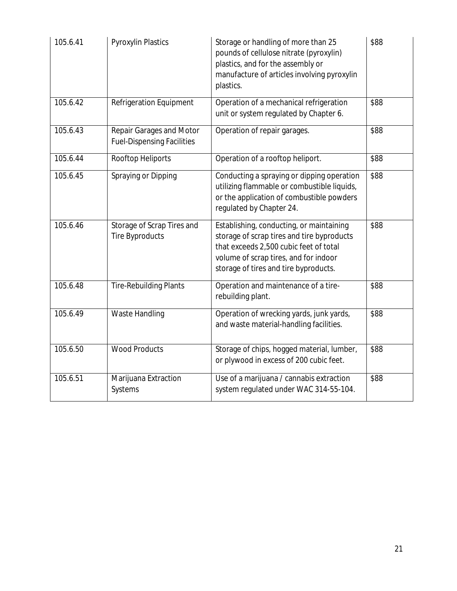| 105.6.41              | <b>Pyroxylin Plastics</b>                                     | Storage or handling of more than 25<br>pounds of cellulose nitrate (pyroxylin)<br>plastics, and for the assembly or<br>manufacture of articles involving pyroxylin<br>plastics.                                    | \$88 |
|-----------------------|---------------------------------------------------------------|--------------------------------------------------------------------------------------------------------------------------------------------------------------------------------------------------------------------|------|
| 105.6.42              | Refrigeration Equipment                                       | Operation of a mechanical refrigeration<br>unit or system regulated by Chapter 6.                                                                                                                                  | \$88 |
| 105.6.43              | Repair Garages and Motor<br><b>Fuel-Dispensing Facilities</b> | Operation of repair garages.                                                                                                                                                                                       | \$88 |
| 105.6.44              | Rooftop Heliports                                             | Operation of a rooftop heliport.                                                                                                                                                                                   | \$88 |
| 105.6.45              | Spraying or Dipping                                           | Conducting a spraying or dipping operation<br>utilizing flammable or combustible liquids,<br>or the application of combustible powders<br>regulated by Chapter 24.                                                 | \$88 |
| 105.6.46              | Storage of Scrap Tires and<br><b>Tire Byproducts</b>          | Establishing, conducting, or maintaining<br>storage of scrap tires and tire byproducts<br>that exceeds 2,500 cubic feet of total<br>volume of scrap tires, and for indoor<br>storage of tires and tire byproducts. | \$88 |
| 105.6.48              | <b>Tire-Rebuilding Plants</b>                                 | Operation and maintenance of a tire-<br>rebuilding plant.                                                                                                                                                          | \$88 |
| 105.6.49              | Waste Handling                                                | Operation of wrecking yards, junk yards,<br>and waste material-handling facilities.                                                                                                                                | \$88 |
| 105.6.50              | <b>Wood Products</b>                                          | Storage of chips, hogged material, lumber,<br>or plywood in excess of 200 cubic feet.                                                                                                                              | \$88 |
| $105.6.\overline{51}$ | Marijuana Extraction<br>Systems                               | Use of a marijuana / cannabis extraction<br>system regulated under WAC 314-55-104.                                                                                                                                 | \$88 |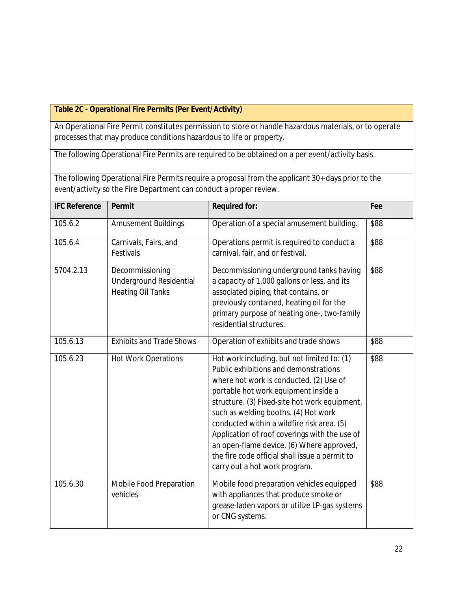#### **Table 2C - Operational Fire Permits (Per Event/Activity)**

An Operational Fire Permit constitutes permission to store or handle hazardous materials, or to operate processes that may produce conditions hazardous to life or property.

The following Operational Fire Permits are required to be obtained on a per event/activity basis.

The following Operational Fire Permits require a proposal from the applicant 30+ days prior to the event/activity so the Fire Department can conduct a proper review.

| <b>IFC Reference</b> | Permit                                                                        | <b>Required for:</b>                                                                                                                                                                                                                                                                                                                                                                                                                                                                            | Fee  |
|----------------------|-------------------------------------------------------------------------------|-------------------------------------------------------------------------------------------------------------------------------------------------------------------------------------------------------------------------------------------------------------------------------------------------------------------------------------------------------------------------------------------------------------------------------------------------------------------------------------------------|------|
| 105.6.2              | <b>Amusement Buildings</b>                                                    | Operation of a special amusement building.                                                                                                                                                                                                                                                                                                                                                                                                                                                      | \$88 |
| 105.6.4              | Carnivals, Fairs, and<br>Festivals                                            | Operations permit is required to conduct a<br>carnival, fair, and or festival.                                                                                                                                                                                                                                                                                                                                                                                                                  | \$88 |
| 5704.2.13            | Decommissioning<br><b>Underground Residential</b><br><b>Heating Oil Tanks</b> | Decommissioning underground tanks having<br>a capacity of 1,000 gallons or less, and its<br>associated piping, that contains, or<br>previously contained, heating oil for the<br>primary purpose of heating one-, two-family<br>residential structures.                                                                                                                                                                                                                                         | \$88 |
| 105.6.13             | <b>Exhibits and Trade Shows</b>                                               | Operation of exhibits and trade shows                                                                                                                                                                                                                                                                                                                                                                                                                                                           | \$88 |
| 105.6.23             | <b>Hot Work Operations</b>                                                    | Hot work including, but not limited to: (1)<br>Public exhibitions and demonstrations<br>where hot work is conducted. (2) Use of<br>portable hot work equipment inside a<br>structure. (3) Fixed-site hot work equipment,<br>such as welding booths. (4) Hot work<br>conducted within a wildfire risk area. (5)<br>Application of roof coverings with the use of<br>an open-flame device. (6) Where approved,<br>the fire code official shall issue a permit to<br>carry out a hot work program. | \$88 |
| 105.6.30             | Mobile Food Preparation<br>vehicles                                           | Mobile food preparation vehicles equipped<br>with appliances that produce smoke or<br>grease-laden vapors or utilize LP-gas systems<br>or CNG systems.                                                                                                                                                                                                                                                                                                                                          | \$88 |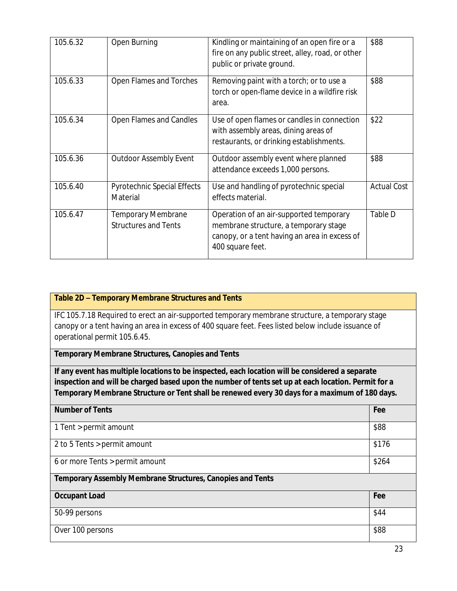| 105.6.32 | Open Burning                                             | Kindling or maintaining of an open fire or a<br>fire on any public street, alley, road, or other<br>public or private ground.                         | \$88               |
|----------|----------------------------------------------------------|-------------------------------------------------------------------------------------------------------------------------------------------------------|--------------------|
| 105.6.33 | Open Flames and Torches                                  | Removing paint with a torch; or to use a<br>torch or open-flame device in a wildfire risk<br>area.                                                    | \$88               |
| 105.6.34 | Open Flames and Candles                                  | Use of open flames or candles in connection<br>with assembly areas, dining areas of<br>restaurants, or drinking establishments.                       | \$22               |
| 105.6.36 | <b>Outdoor Assembly Event</b>                            | Outdoor assembly event where planned<br>attendance exceeds 1,000 persons.                                                                             | \$88               |
| 105.6.40 | <b>Pyrotechnic Special Effects</b><br>Material           | Use and handling of pyrotechnic special<br>effects material.                                                                                          | <b>Actual Cost</b> |
| 105.6.47 | <b>Temporary Membrane</b><br><b>Structures and Tents</b> | Operation of an air-supported temporary<br>membrane structure, a temporary stage<br>canopy, or a tent having an area in excess of<br>400 square feet. | Table D            |

#### **Table 2D – Temporary Membrane Structures and Tents**

IFC 105.7.18 Required to erect an air-supported temporary membrane structure, a temporary stage canopy or a tent having an area in excess of 400 square feet. Fees listed below include issuance of operational permit 105.6.45.

#### **Temporary Membrane Structures, Canopies and Tents**

**If any event has multiple locations to be inspected, each location will be considered a separate inspection and will be charged based upon the number of tents set up at each location. Permit for a Temporary Membrane Structure or Tent shall be renewed every 30 days for a maximum of 180 days.**

| <b>Number of Tents</b>                                            | Fee   |
|-------------------------------------------------------------------|-------|
| 1 Tent > permit amount                                            | \$88  |
| 2 to 5 Tents > permit amount                                      | \$176 |
| 6 or more Tents > permit amount                                   | \$264 |
| <b>Temporary Assembly Membrane Structures, Canopies and Tents</b> |       |
| <b>Occupant Load</b>                                              | Fee   |
| 50-99 persons                                                     | \$44  |
| Over 100 persons                                                  | \$88  |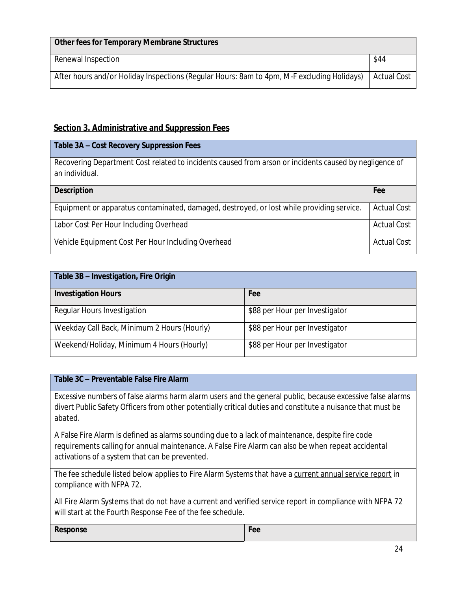| Other fees for Temporary Membrane Structures                                               |             |
|--------------------------------------------------------------------------------------------|-------------|
| Renewal Inspection                                                                         | \$44        |
| After hours and/or Holiday Inspections (Regular Hours: 8am to 4pm, M-F excluding Holidays) | Actual Cost |

#### **Section 3. Administrative and Suppression Fees**

| Table 3A - Cost Recovery Suppression Fees                                                                                |                    |
|--------------------------------------------------------------------------------------------------------------------------|--------------------|
| Recovering Department Cost related to incidents caused from arson or incidents caused by negligence of<br>an individual. |                    |
| <b>Description</b>                                                                                                       | Fee                |
| Equipment or apparatus contaminated, damaged, destroyed, or lost while providing service.                                | <b>Actual Cost</b> |
| Labor Cost Per Hour Including Overhead                                                                                   | <b>Actual Cost</b> |
| Vehicle Equipment Cost Per Hour Including Overhead                                                                       | <b>Actual Cost</b> |

| Table 3B - Investigation, Fire Origin       |                                |  |  |
|---------------------------------------------|--------------------------------|--|--|
| <b>Investigation Hours</b>                  | Fee                            |  |  |
| Regular Hours Investigation                 | \$88 per Hour per Investigator |  |  |
| Weekday Call Back, Minimum 2 Hours (Hourly) | \$88 per Hour per Investigator |  |  |
| Weekend/Holiday, Minimum 4 Hours (Hourly)   | \$88 per Hour per Investigator |  |  |

#### **Table 3C – Preventable False Fire Alarm**

Excessive numbers of false alarms harm alarm users and the general public, because excessive false alarms divert Public Safety Officers from other potentially critical duties and constitute a nuisance that must be abated.

A False Fire Alarm is defined as alarms sounding due to a lack of maintenance, despite fire code requirements calling for annual maintenance. A False Fire Alarm can also be when repeat accidental activations of a system that can be prevented.

The fee schedule listed below applies to Fire Alarm Systems that have a current annual service report in compliance with NFPA 72.

All Fire Alarm Systems that do not have a current and verified service report in compliance with NFPA 72 will start at the Fourth Response Fee of the fee schedule.

**Response Fee**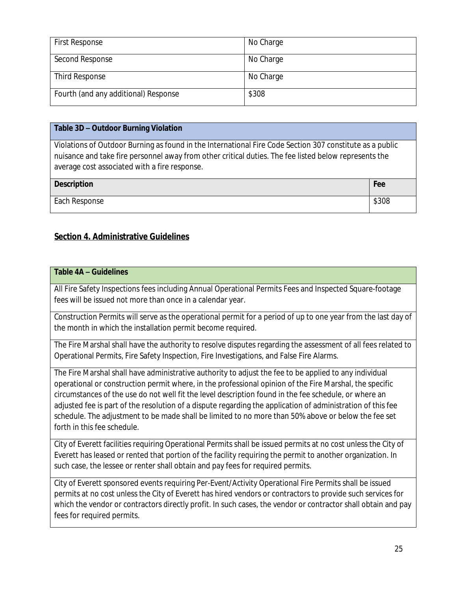| <b>First Response</b>                | No Charge |
|--------------------------------------|-----------|
| Second Response                      | No Charge |
| Third Response                       | No Charge |
| Fourth (and any additional) Response | \$308     |

#### **Table 3D – Outdoor Burning Violation**

Violations of Outdoor Burning as found in the International Fire Code Section 307 constitute as a public nuisance and take fire personnel away from other critical duties. The fee listed below represents the average cost associated with a fire response.

| <b>Description</b> | Fee   |
|--------------------|-------|
| Each Response      | \$308 |

#### **Section 4. Administrative Guidelines**

#### **Table 4A – Guidelines**

All Fire Safety Inspections fees including Annual Operational Permits Fees and Inspected Square-footage fees will be issued not more than once in a calendar year.

Construction Permits will serve as the operational permit for a period of up to one year from the last day of the month in which the installation permit become required.

The Fire Marshal shall have the authority to resolve disputes regarding the assessment of all fees related to Operational Permits, Fire Safety Inspection, Fire Investigations, and False Fire Alarms.

The Fire Marshal shall have administrative authority to adjust the fee to be applied to any individual operational or construction permit where, in the professional opinion of the Fire Marshal, the specific circumstances of the use do not well fit the level description found in the fee schedule, or where an adjusted fee is part of the resolution of a dispute regarding the application of administration of this fee schedule. The adjustment to be made shall be limited to no more than 50% above or below the fee set forth in this fee schedule.

City of Everett facilities requiring Operational Permits shall be issued permits at no cost unless the City of Everett has leased or rented that portion of the facility requiring the permit to another organization. In such case, the lessee or renter shall obtain and pay fees for required permits.

City of Everett sponsored events requiring Per-Event/Activity Operational Fire Permits shall be issued permits at no cost unless the City of Everett has hired vendors or contractors to provide such services for which the vendor or contractors directly profit. In such cases, the vendor or contractor shall obtain and pay fees for required permits.